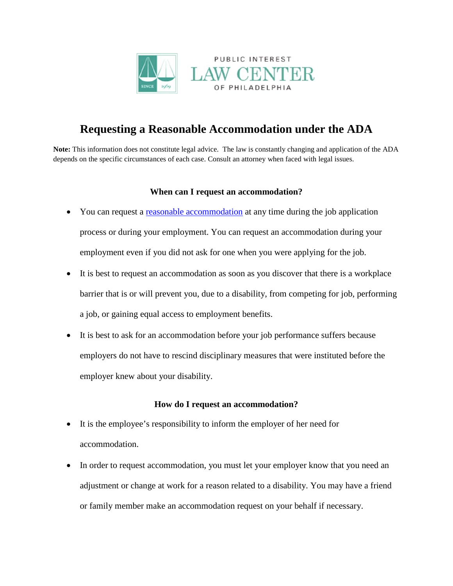

# **Requesting a Reasonable Accommodation under the ADA**

**Note:** This information does not constitute legal advice. The law is constantly changing and application of the ADA depends on the specific circumstances of each case. Consult an attorney when faced with legal issues.

## **When can I request an accommodation?**

- You can request a reasonable [accommodation](http://www.pilcop.org/wp-content/uploads/2014/11/Reasonable-Accommodation.pdf) at any time during the job application process or during your employment. You can request an accommodation during your employment even if you did not ask for one when you were applying for the job.
- It is best to request an accommodation as soon as you discover that there is a workplace barrier that is or will prevent you, due to a disability, from competing for job, performing a job, or gaining equal access to employment benefits.
- It is best to ask for an accommodation before your job performance suffers because employers do not have to rescind disciplinary measures that were instituted before the employer knew about your disability.

## **How do I request an accommodation?**

- It is the employee's responsibility to inform the employer of her need for accommodation.
- In order to request accommodation, you must let your employer know that you need an adjustment or change at work for a reason related to a disability. You may have a friend or family member make an accommodation request on your behalf if necessary.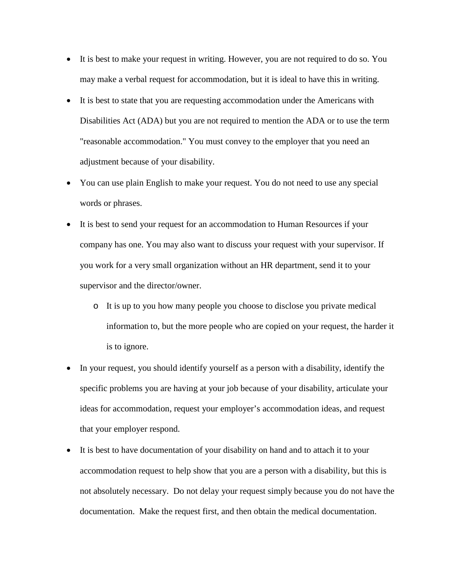- It is best to make your request in writing. However, you are not required to do so. You may make a verbal request for accommodation, but it is ideal to have this in writing.
- It is best to state that you are requesting accommodation under the Americans with Disabilities Act (ADA) but you are not required to mention the ADA or to use the term "reasonable accommodation." You must convey to the employer that you need an adjustment because of your disability.
- You can use plain English to make your request. You do not need to use any special words or phrases.
- It is best to send your request for an accommodation to Human Resources if your company has one. You may also want to discuss your request with your supervisor. If you work for a very small organization without an HR department, send it to your supervisor and the director/owner.
	- o It is up to you how many people you choose to disclose you private medical information to, but the more people who are copied on your request, the harder it is to ignore.
- In your request, you should identify yourself as a person with a disability, identify the specific problems you are having at your job because of your disability, articulate your ideas for accommodation, request your employer's accommodation ideas, and request that your employer respond.
- It is best to have documentation of your disability on hand and to attach it to your accommodation request to help show that you are a person with a disability, but this is not absolutely necessary. Do not delay your request simply because you do not have the documentation. Make the request first, and then obtain the medical documentation.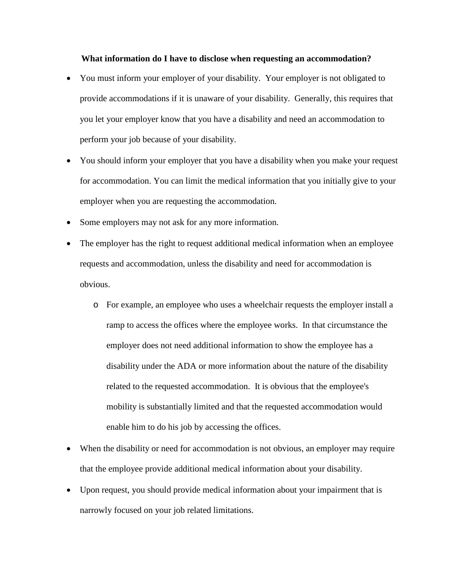#### **What information do I have to disclose when requesting an accommodation?**

- You must inform your employer of your disability. Your employer is not obligated to provide accommodations if it is unaware of your disability. Generally, this requires that you let your employer know that you have a disability and need an accommodation to perform your job because of your disability.
- You should inform your employer that you have a disability when you make your request for accommodation. You can limit the medical information that you initially give to your employer when you are requesting the accommodation.
- Some employers may not ask for any more information.
- The employer has the right to request additional medical information when an employee requests and accommodation, unless the disability and need for accommodation is obvious.
	- o For example, an employee who uses a wheelchair requests the employer install a ramp to access the offices where the employee works. In that circumstance the employer does not need additional information to show the employee has a disability under the ADA or more information about the nature of the disability related to the requested accommodation. It is obvious that the employee's mobility is substantially limited and that the requested accommodation would enable him to do his job by accessing the offices.
- When the disability or need for accommodation is not obvious, an employer may require that the employee provide additional medical information about your disability.
- Upon request, you should provide medical information about your impairment that is narrowly focused on your job related limitations.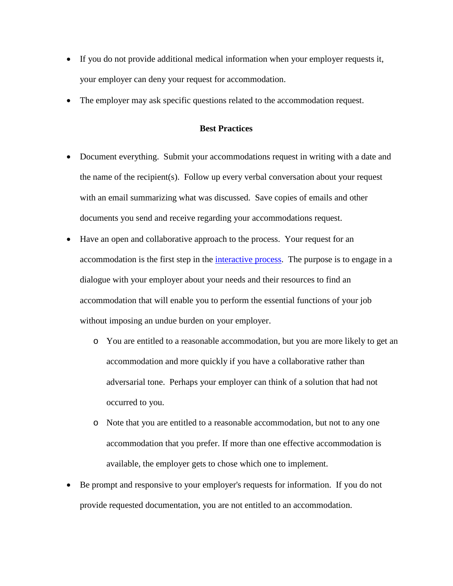- If you do not provide additional medical information when your employer requests it, your employer can deny your request for accommodation.
- The employer may ask specific questions related to the accommodation request.

#### **Best Practices**

- Document everything. Submit your accommodations request in writing with a date and the name of the recipient(s). Follow up every verbal conversation about your request with an email summarizing what was discussed. Save copies of emails and other documents you send and receive regarding your accommodations request.
- Have an open and collaborative approach to the process. Your request for an accommodation is the first step in the [interactive process.](http://www.pilcop.org/wp-content/uploads/2014/11/Reasonable-Accommodation.pdf) The purpose is to engage in a dialogue with your employer about your needs and their resources to find an accommodation that will enable you to perform the essential functions of your job without imposing an undue burden on your employer.
	- o You are entitled to a reasonable accommodation, but you are more likely to get an accommodation and more quickly if you have a collaborative rather than adversarial tone. Perhaps your employer can think of a solution that had not occurred to you.
	- o Note that you are entitled to a reasonable accommodation, but not to any one accommodation that you prefer. If more than one effective accommodation is available, the employer gets to chose which one to implement.
- Be prompt and responsive to your employer's requests for information. If you do not provide requested documentation, you are not entitled to an accommodation.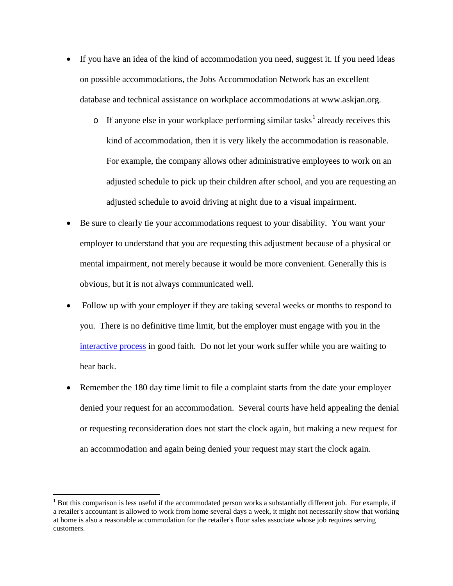- If you have an idea of the kind of accommodation you need, suggest it. If you need ideas on possible accommodations, the Jobs Accommodation Network has an excellent database and technical assistance on workplace accommodations at www.askjan.org.
	- $\circ$  If anyone else in your workplace performing similar tasks<sup>[1](#page-4-0)</sup> already receives this kind of accommodation, then it is very likely the accommodation is reasonable. For example, the company allows other administrative employees to work on an adjusted schedule to pick up their children after school, and you are requesting an adjusted schedule to avoid driving at night due to a visual impairment.
- Be sure to clearly tie your accommodations request to your disability. You want your employer to understand that you are requesting this adjustment because of a physical or mental impairment, not merely because it would be more convenient. Generally this is obvious, but it is not always communicated well.
- Follow up with your employer if they are taking several weeks or months to respond to you. There is no definitive time limit, but the employer must engage with you in the [interactive process](http://www.pilcop.org/wp-content/uploads/2014/11/The-Interactive-Process.pdf) in good faith. Do not let your work suffer while you are waiting to hear back.
- Remember the 180 day time limit to file a complaint starts from the date your employer denied your request for an accommodation. Several courts have held appealing the denial or requesting reconsideration does not start the clock again, but making a new request for an accommodation and again being denied your request may start the clock again.

<span id="page-4-0"></span> $<sup>1</sup>$  But this comparison is less useful if the accommodated person works a substantially different job. For example, if</sup> a retailer's accountant is allowed to work from home several days a week, it might not necessarily show that working at home is also a reasonable accommodation for the retailer's floor sales associate whose job requires serving customers.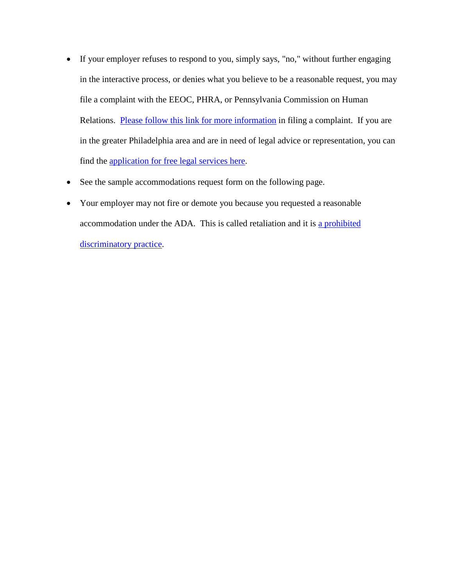- If your employer refuses to respond to you, simply says, "no," without further engaging in the interactive process, or denies what you believe to be a reasonable request, you may file a complaint with the EEOC, PHRA, or Pennsylvania Commission on Human Relations. [Please follow this link for more information](http://www.pilcop.org/wp-content/uploads/2014/11/Challenging-Employment-Discrimination.pdf) in filing a complaint. If you are in the greater Philadelphia area and are in need of legal advice or representation, you can find the [application for free legal services here.](http://www.pilcop.org/wp-content/uploads/2014/10/Intake-Form-Edited-10.17.14.docx)
- See the sample accommodations request form on the following page.
- Your employer may not fire or demote you because you requested a reasonable accommodation under the ADA. This is called retaliation and it is [a prohibited](http://www.pilcop.org/wp-content/uploads/2014/11/Prohibited-Discriminatory-Practices.pdf)  [discriminatory practice.](http://www.pilcop.org/wp-content/uploads/2014/11/Prohibited-Discriminatory-Practices.pdf)